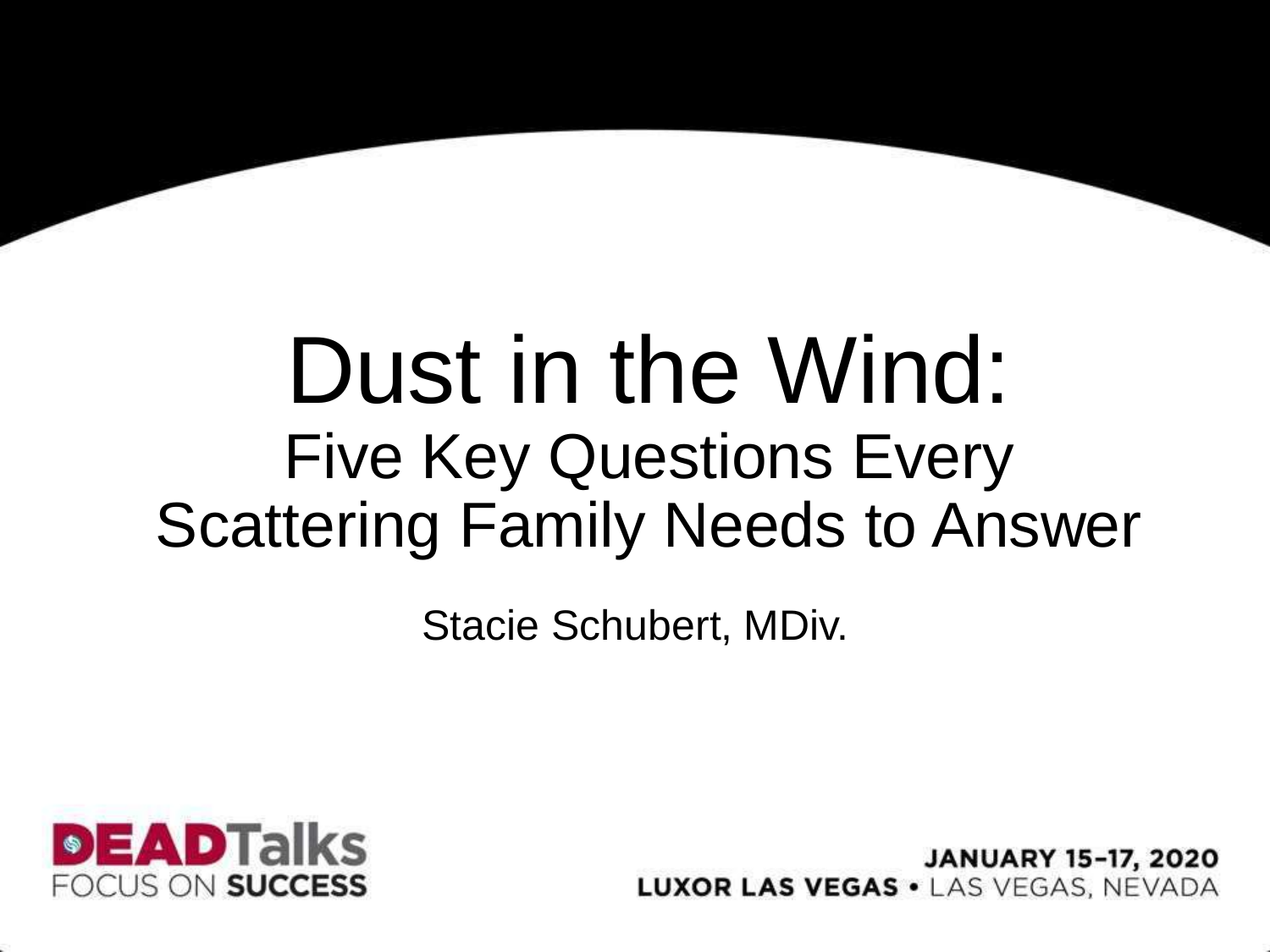#### Dust in the Wind: Five Key Questions Every Scattering Family Needs to Answer

Stacie Schubert, MDiv.



**JANUARY 15-17, 2020 LUXOR LAS VEGAS · LAS VEGAS, NEVADA**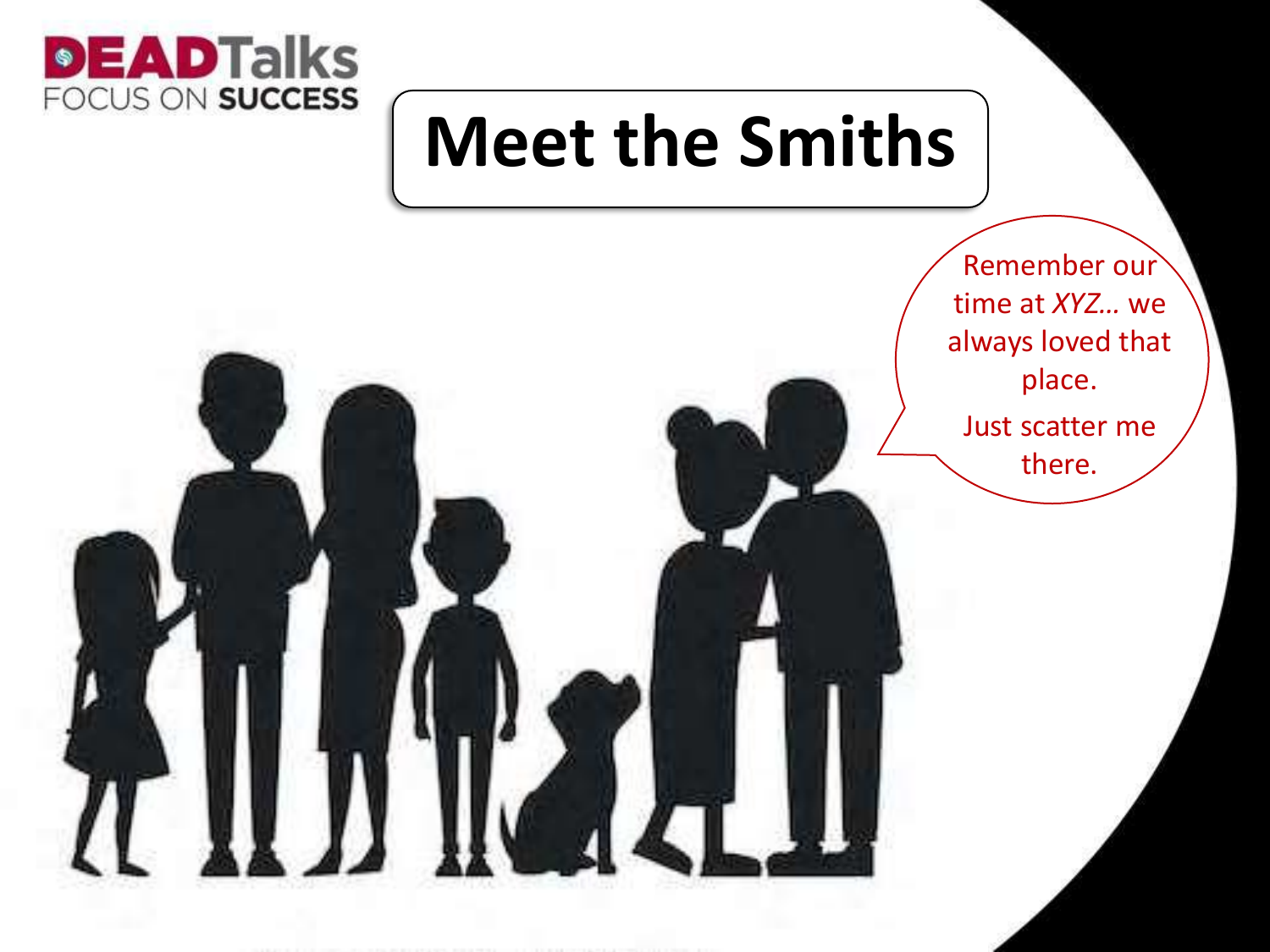

#### **Meet the Smiths**

Remember our time at *XYZ…* we always loved that place.

Just scatter me there.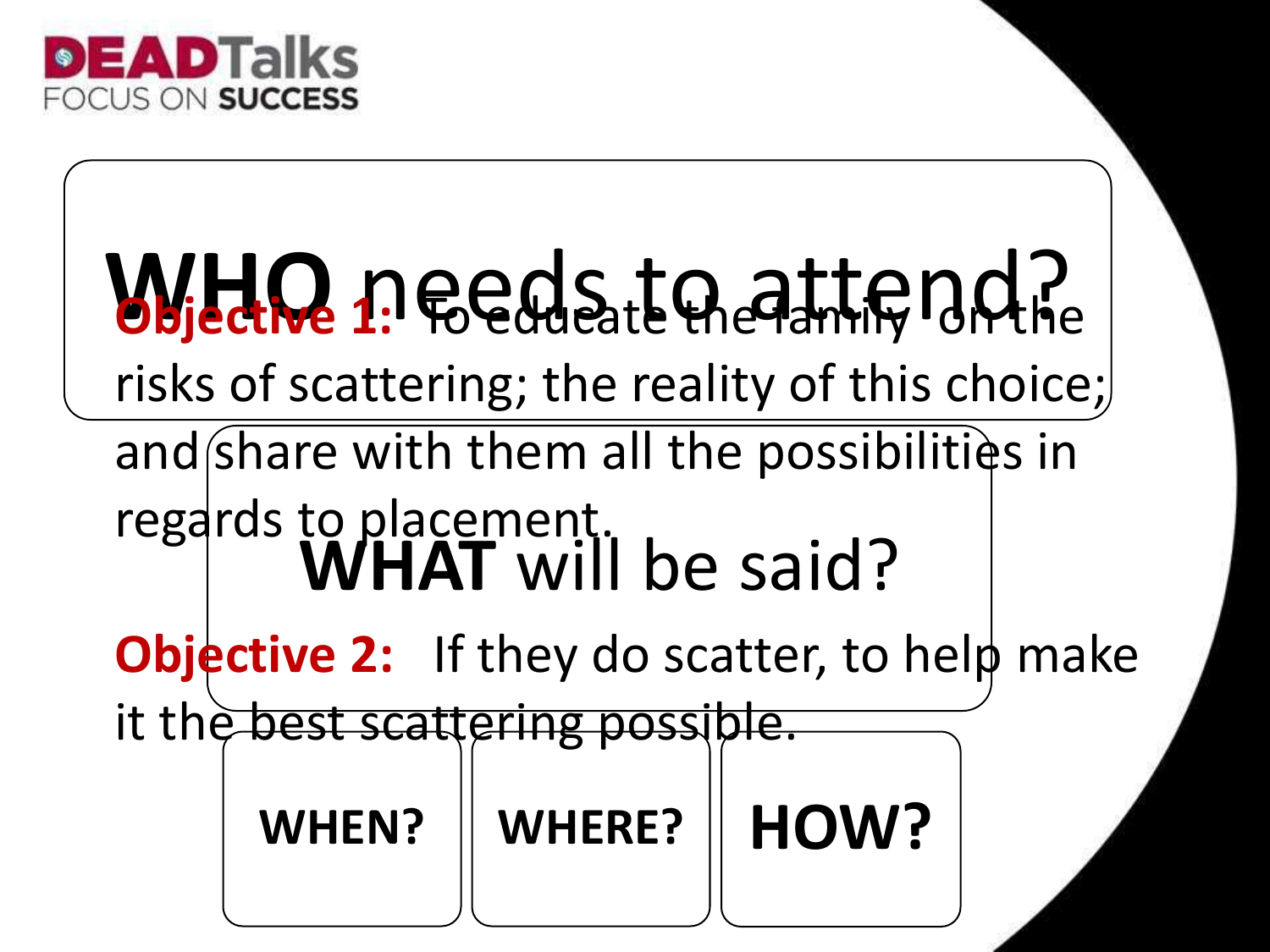

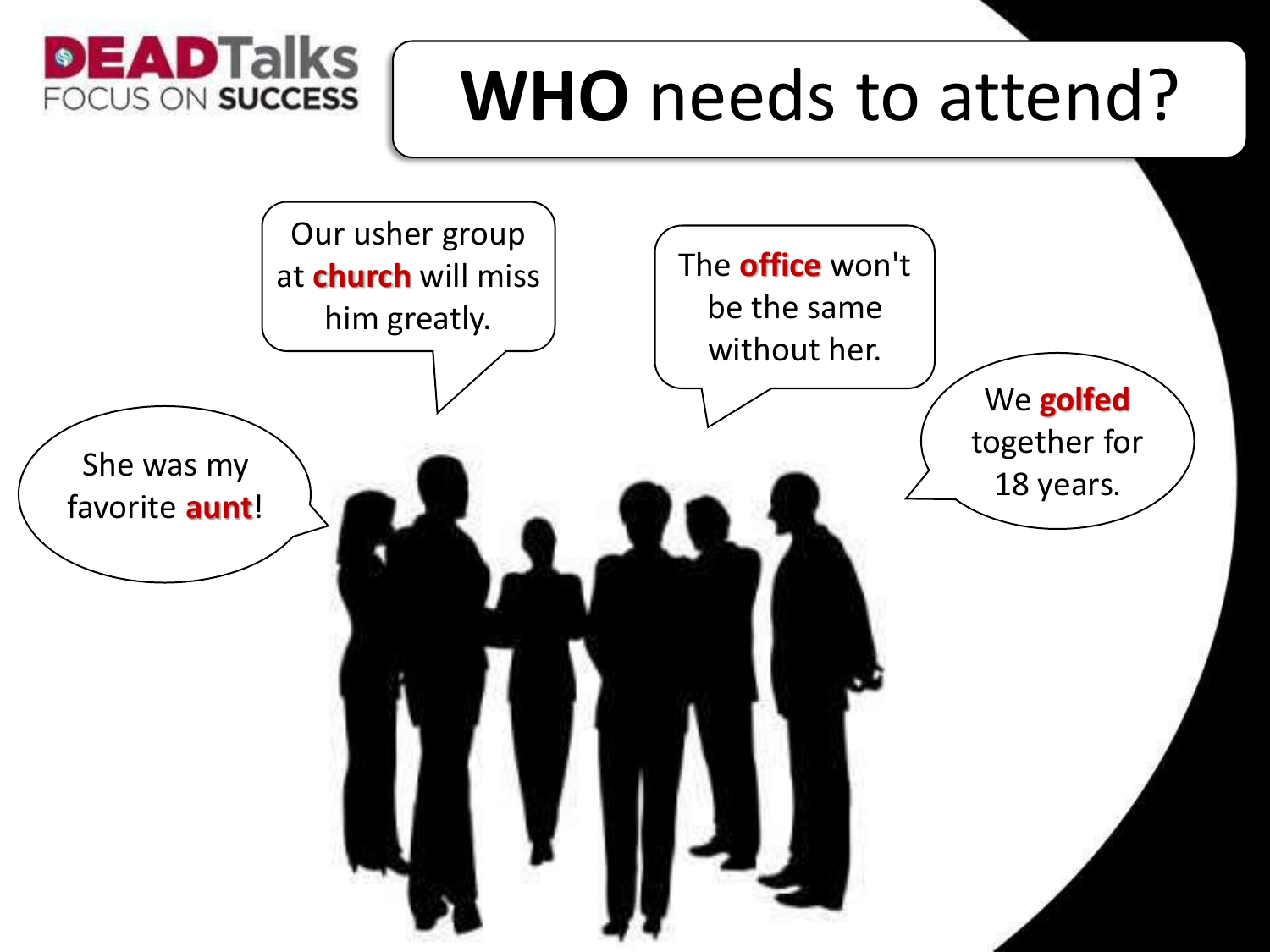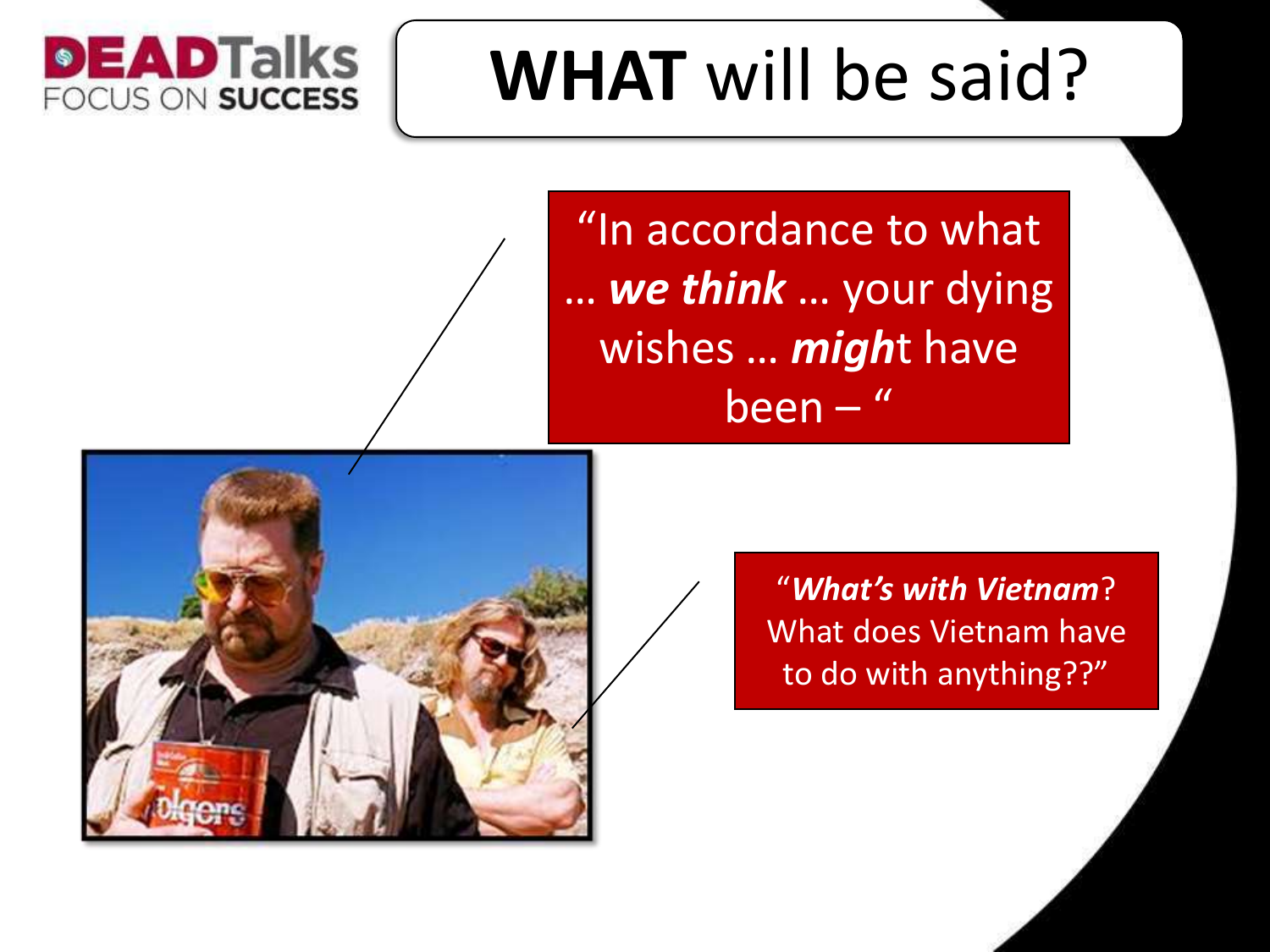### **WHAT** will be said?

"In accordance to what … *we think* … your dying wishes … *migh*t have been – "



**DEADTalks** 

FOCUS ON SUCCESS

"*What's with Vietnam*? What does Vietnam have to do with anything??"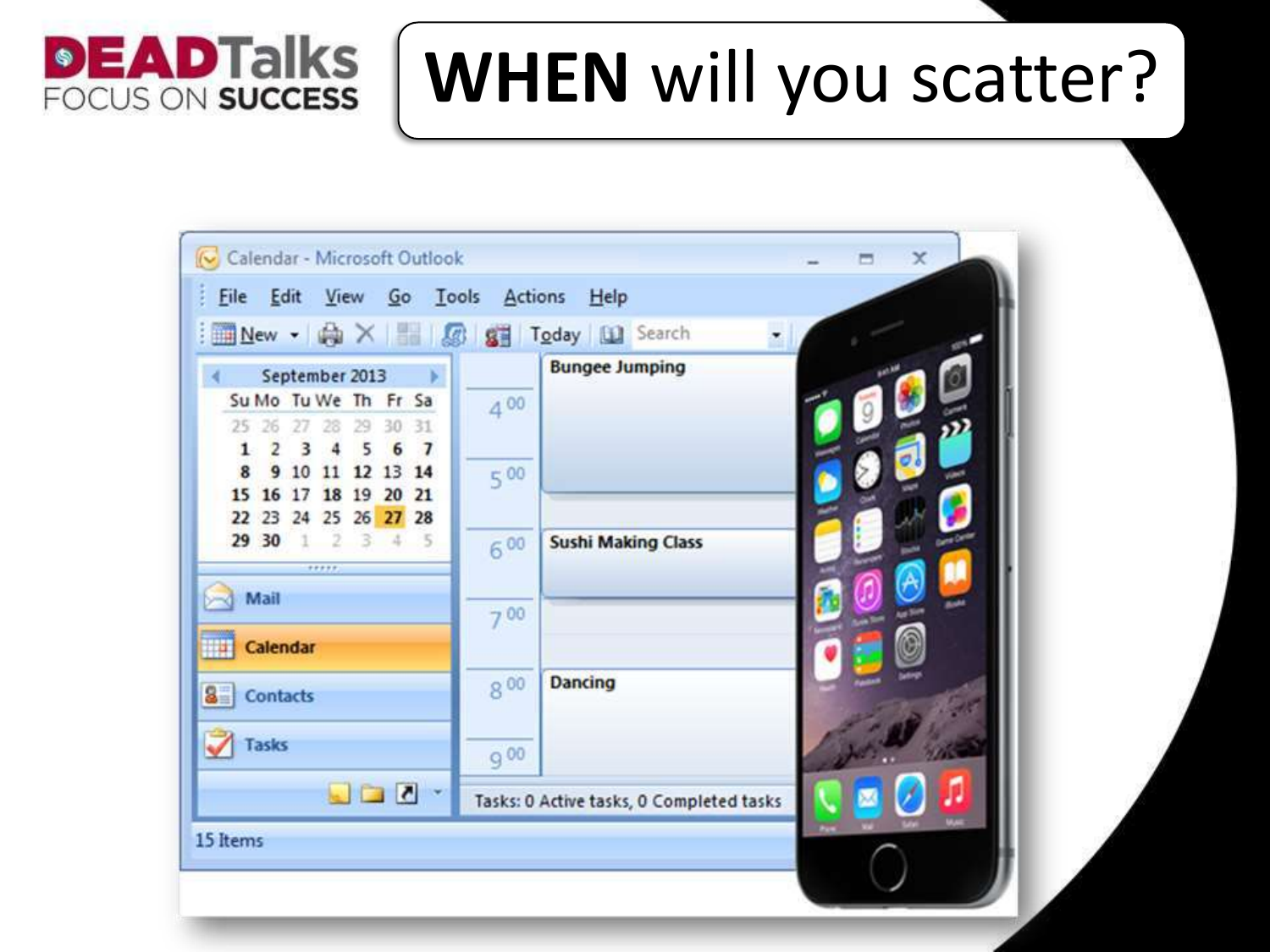

#### **WHEN** will you scatter?

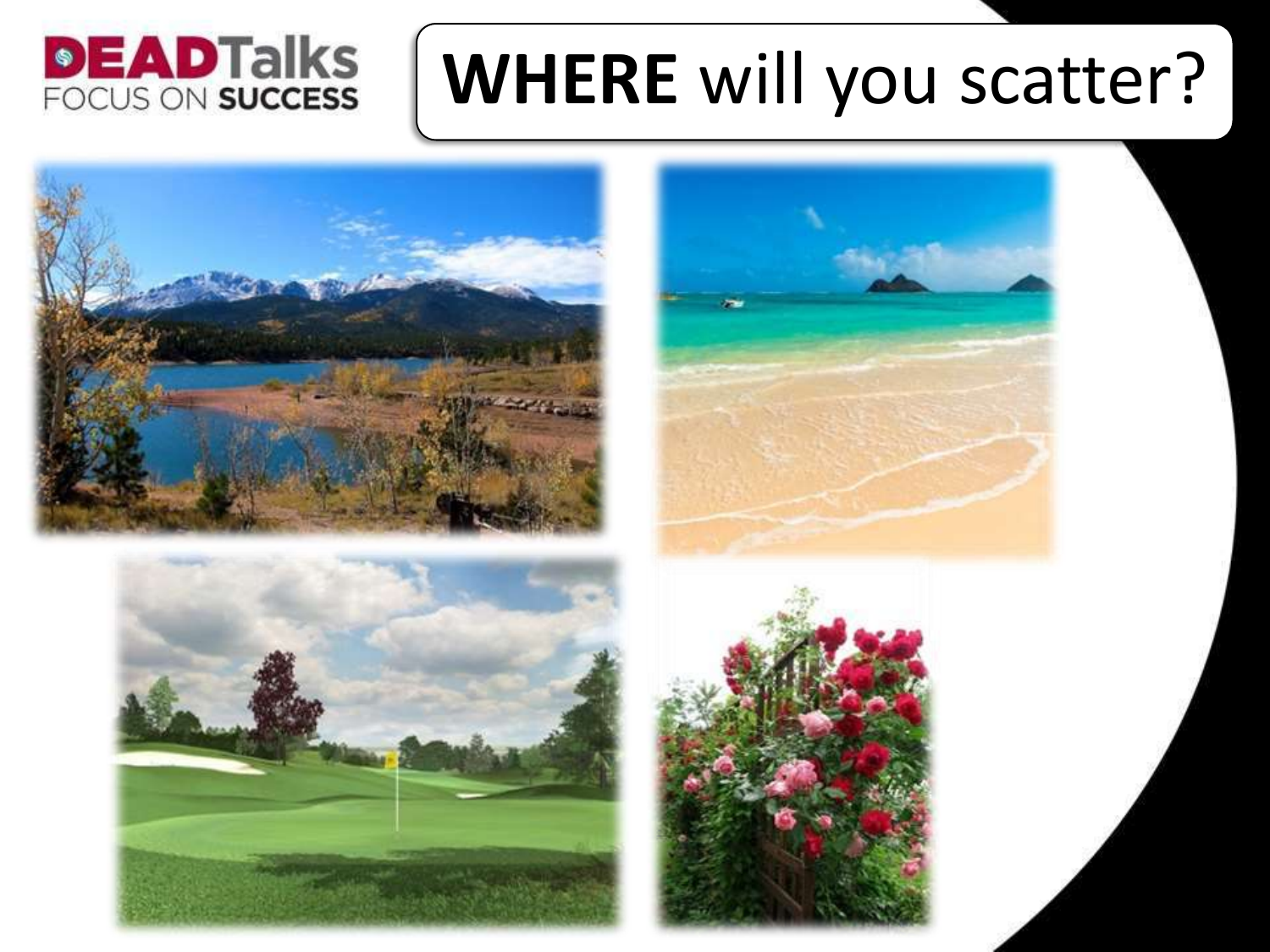### **DEADTalks**<br>FOCUS ON SUCCESS

### **WHERE** will you scatter?





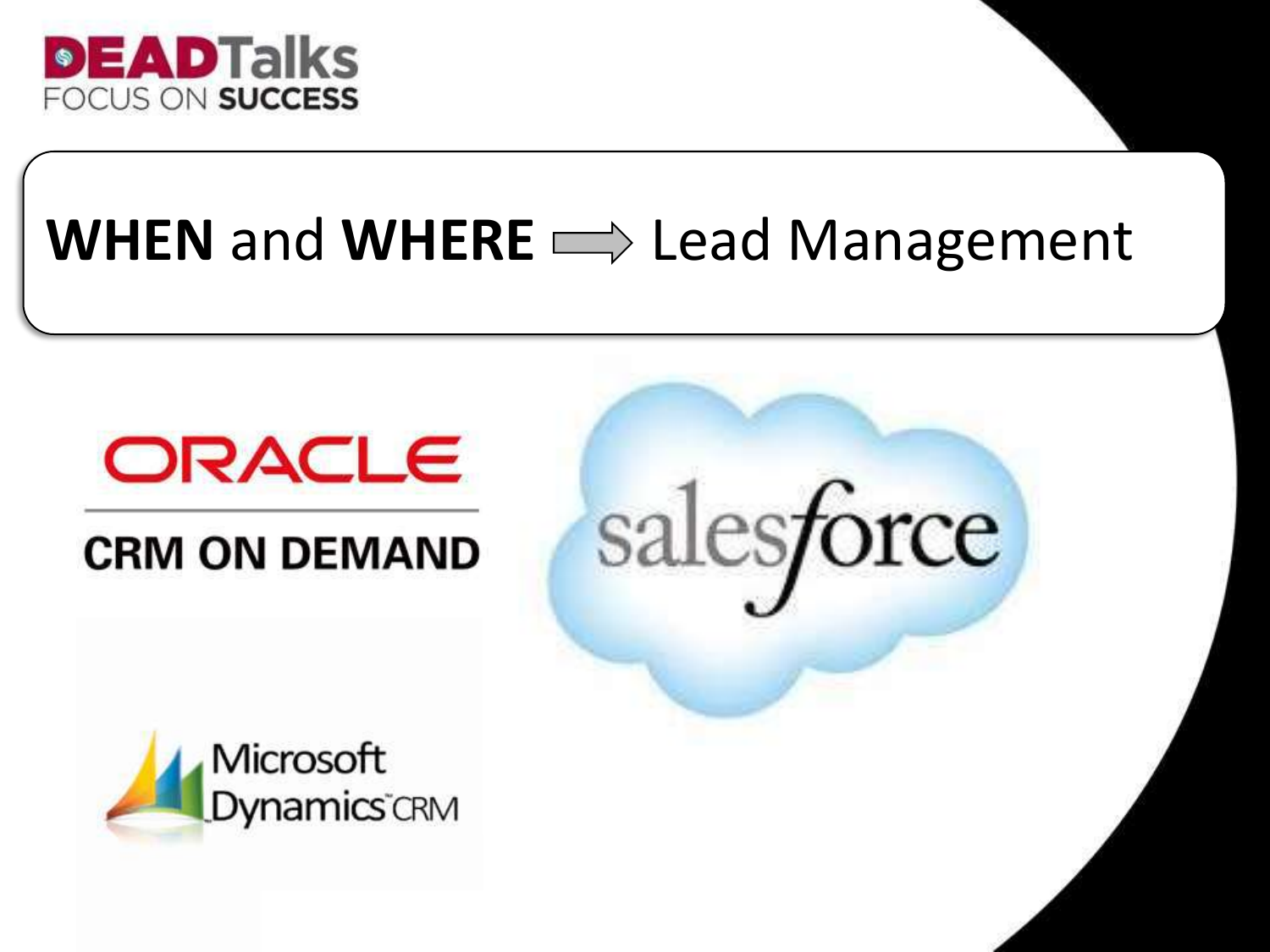

#### WHEN and WHERE  $\implies$  Lead Management

salesforce



#### **CRM ON DEMAND**

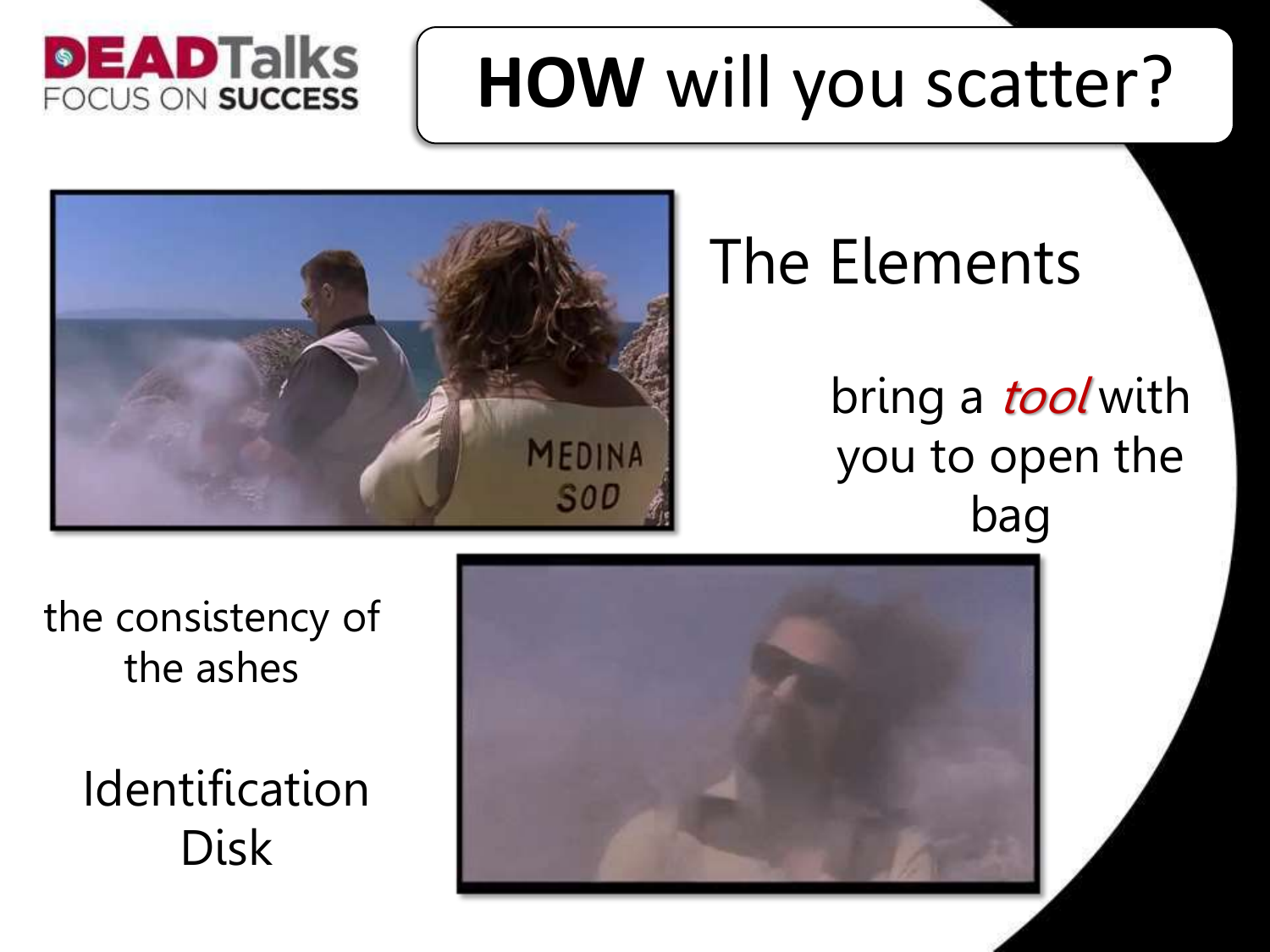### **HOW** will you scatter?





#### The Elements

bring a *tool* with you to open the bag



the consistency of the ashes

> Identification Disk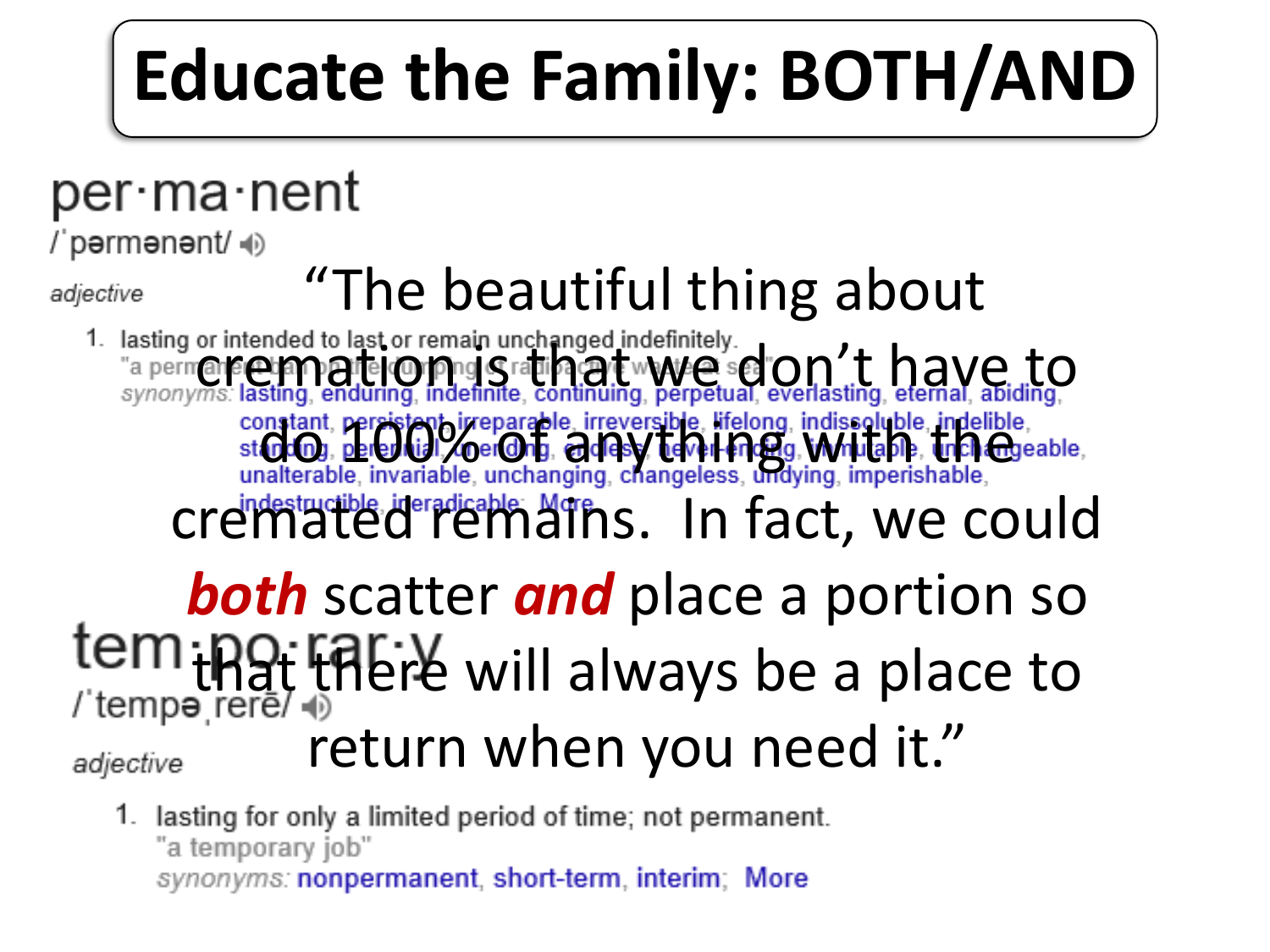## **Educate the Family: BOTH/AND**

#### per∙ma∙nent

/ˈpərmənənt/ ()

adjective

# Ective  $"$ The beautiful thing about  $\cdot$  and  $\cdot$  and  $\cdot$  and  $\cdot$  and  $\cdot$  and  $\cdot$  and  $\cdot$  and  $\cdot$  and  $\cdot$  and  $\cdot$  and  $\cdot$  and  $\cdot$  and  $\cdot$  and  $\cdot$  and  $\cdot$  and  $\cdot$  and  $\cdot$  and  $\cdot$  and  $\cdot$  and  $\cdot$  and  $\cdot$

"a permate etampate corpne statistical www.exercist.com 't have to constant, persistent irreparable, irreversible, lifelong, indissoluble, indelible, indelible, st (nc), percylist, or changing, changeless, undividually, the change of any unalterable, invariable, unchanging, changeless, un cremated remains. In fact, we could

#### *both* scatter *and* place a portion so tem that there will always be a place to return when you need it."

adjective

1. lasting for only a limited period of time; not permanent. "a temporary job"

synonyms: nonpermanent, short-term, interim; More